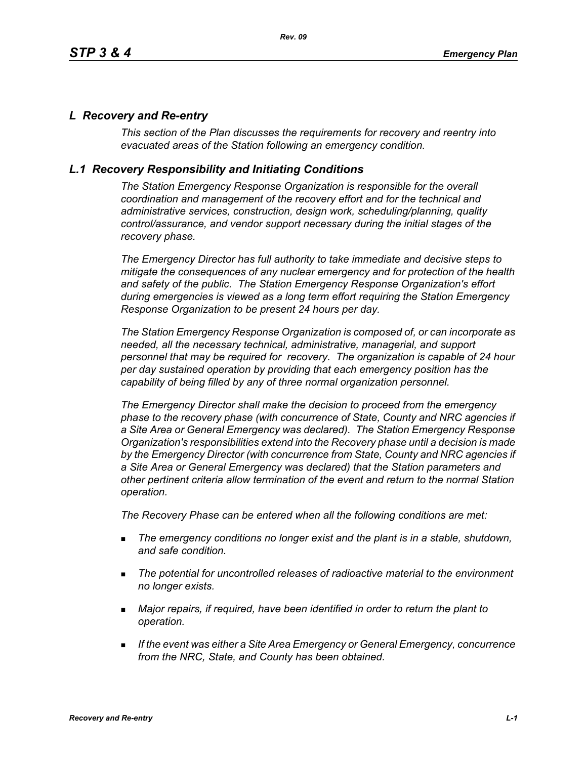## *L Recovery and Re-entry*

*This section of the Plan discusses the requirements for recovery and reentry into evacuated areas of the Station following an emergency condition.* 

## *L.1 Recovery Responsibility and Initiating Conditions*

*The Station Emergency Response Organization is responsible for the overall coordination and management of the recovery effort and for the technical and administrative services, construction, design work, scheduling/planning, quality control/assurance, and vendor support necessary during the initial stages of the recovery phase.*

*The Emergency Director has full authority to take immediate and decisive steps to mitigate the consequences of any nuclear emergency and for protection of the health and safety of the public. The Station Emergency Response Organization's effort during emergencies is viewed as a long term effort requiring the Station Emergency Response Organization to be present 24 hours per day.*

*The Station Emergency Response Organization is composed of, or can incorporate as needed, all the necessary technical, administrative, managerial, and support personnel that may be required for recovery. The organization is capable of 24 hour per day sustained operation by providing that each emergency position has the capability of being filled by any of three normal organization personnel.*

*The Emergency Director shall make the decision to proceed from the emergency phase to the recovery phase (with concurrence of State, County and NRC agencies if a Site Area or General Emergency was declared). The Station Emergency Response Organization's responsibilities extend into the Recovery phase until a decision is made by the Emergency Director (with concurrence from State, County and NRC agencies if a Site Area or General Emergency was declared) that the Station parameters and other pertinent criteria allow termination of the event and return to the normal Station operation.*

*The Recovery Phase can be entered when all the following conditions are met:*

- *The emergency conditions no longer exist and the plant is in a stable, shutdown, and safe condition.*
- *The potential for uncontrolled releases of radioactive material to the environment no longer exists.*
- *Major repairs, if required, have been identified in order to return the plant to operation.*
- *If the event was either a Site Area Emergency or General Emergency, concurrence from the NRC, State, and County has been obtained.*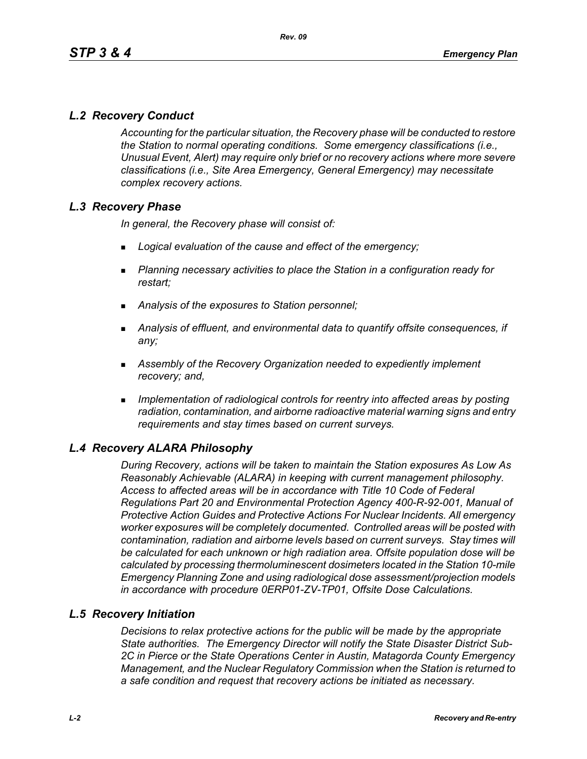# *L.2 Recovery Conduct*

*Accounting for the particular situation, the Recovery phase will be conducted to restore the Station to normal operating conditions. Some emergency classifications (i.e., Unusual Event, Alert) may require only brief or no recovery actions where more severe classifications (i.e., Site Area Emergency, General Emergency) may necessitate complex recovery actions.*

# *L.3 Recovery Phase*

*In general, the Recovery phase will consist of:*

- *Logical evaluation of the cause and effect of the emergency;*
- *Planning necessary activities to place the Station in a configuration ready for restart;*
- *Analysis of the exposures to Station personnel;*
- *Analysis of effluent, and environmental data to quantify offsite consequences, if any;*
- *Assembly of the Recovery Organization needed to expediently implement recovery; and,*
- *Implementation of radiological controls for reentry into affected areas by posting radiation, contamination, and airborne radioactive material warning signs and entry requirements and stay times based on current surveys.*

# *L.4 Recovery ALARA Philosophy*

*During Recovery, actions will be taken to maintain the Station exposures As Low As Reasonably Achievable (ALARA) in keeping with current management philosophy. Access to affected areas will be in accordance with Title 10 Code of Federal Regulations Part 20 and Environmental Protection Agency 400-R-92-001, Manual of Protective Action Guides and Protective Actions For Nuclear Incidents. All emergency worker exposures will be completely documented. Controlled areas will be posted with contamination, radiation and airborne levels based on current surveys. Stay times will be calculated for each unknown or high radiation area. Offsite population dose will be calculated by processing thermoluminescent dosimeters located in the Station 10-mile Emergency Planning Zone and using radiological dose assessment/projection models in accordance with procedure 0ERP01-ZV-TP01, Offsite Dose Calculations.*

# *L.5 Recovery Initiation*

*Decisions to relax protective actions for the public will be made by the appropriate State authorities. The Emergency Director will notify the State Disaster District Sub-2C in Pierce or the State Operations Center in Austin, Matagorda County Emergency Management, and the Nuclear Regulatory Commission when the Station is returned to a safe condition and request that recovery actions be initiated as necessary.*